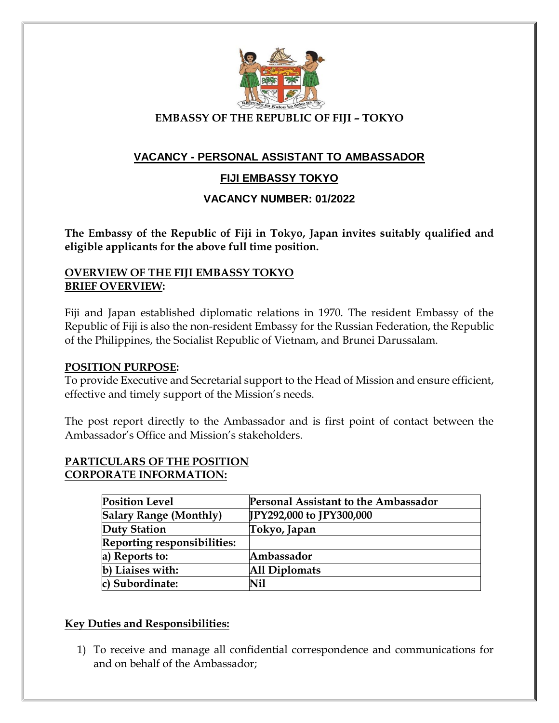

 **EMBASSY OF THE REPUBLIC OF FIJI – TOKYO**

# **VACANCY - PERSONAL ASSISTANT TO AMBASSADOR**

# **FIJI EMBASSY TOKYO**

## **VACANCY NUMBER: 01/2022**

**The Embassy of the Republic of Fiji in Tokyo, Japan invites suitably qualified and eligible applicants for the above full time position.**

### **OVERVIEW OF THE FIJI EMBASSY TOKYO BRIEF OVERVIEW:**

Fiji and Japan established diplomatic relations in 1970. The resident Embassy of the Republic of Fiji is also the non-resident Embassy for the Russian Federation, the Republic of the Philippines, the Socialist Republic of Vietnam, and Brunei Darussalam.

### **POSITION PURPOSE:**

To provide Executive and Secretarial support to the Head of Mission and ensure efficient, effective and timely support of the Mission's needs.

The post report directly to the Ambassador and is first point of contact between the Ambassador's Office and Mission's stakeholders.

### **PARTICULARS OF THE POSITION CORPORATE INFORMATION:**

| <b>Position Level</b>         | Personal Assistant to the Ambassador |
|-------------------------------|--------------------------------------|
| <b>Salary Range (Monthly)</b> | [IPY292,000 to JPY300,000]           |
| Duty Station                  | Tokyo, Japan                         |
| Reporting responsibilities:   |                                      |
| a) Reports to:                | Ambassador                           |
| b) Liaises with:              | <b>All Diplomats</b>                 |
| c) Subordinate:               | Nil                                  |

### **Key Duties and Responsibilities:**

1) To receive and manage all confidential correspondence and communications for and on behalf of the Ambassador;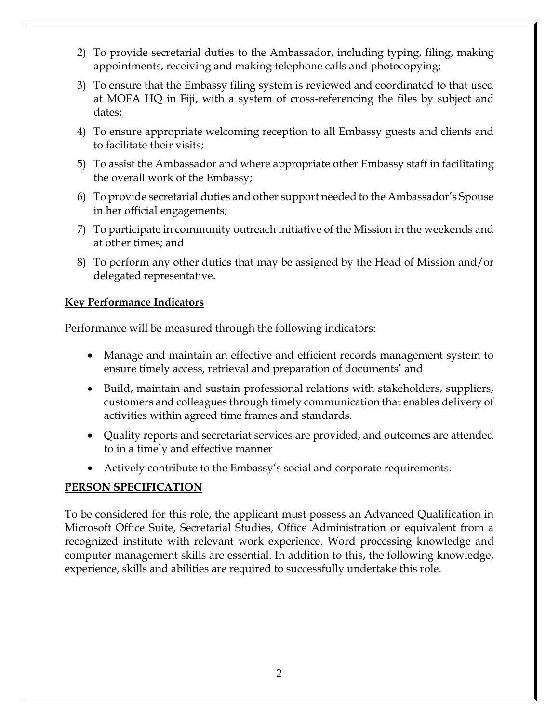- 2) To provide secretarial duties to the Ambassador, including typing, filing, making appointments, receiving and making telephone calls and photocopying;
- 3) To ensure that the Embassy filing system is reviewed and coordinated to that used at MOFA HQ in Fiji, with a system of cross-referencing the files by subject and dates;
- 4) To ensure appropriate welcoming reception to all Embassy guests and clients and to facilitate their visits;
- 5) To assist the Ambassador and where appropriate other Embassy staff in facilitating the overall work of the Embassy;
- 6) To provide secretarial duties and other support needed to the Ambassador's Spouse in her official engagements;
- 7) To participate in community outreach initiative of the Mission in the weekends and at other times; and
- 8) To perform any other duties that may be assigned by the Head of Mission and/or delegated representative.

# **Key Performance Indicators**

Performance will be measured through the following indicators:

- Manage and maintain an effective and efficient records management system to ensure timely access, retrieval and preparation of documents' and
- Build, maintain and sustain professional relations with stakeholders, suppliers, customers and colleagues through timely communication that enables delivery of activities within agreed time frames and standards.
- Quality reports and secretariat services are provided, and outcomes are attended to in a timely and effective manner
- Actively contribute to the Embassy's social and corporate requirements.

# **PERSON SPECIFICATION**

To be considered for this role, the applicant must possess an Advanced Qualification in Microsoft Office Suite, Secretarial Studies, Office Administration or equivalent from a recognized institute with relevant work experience. Word processing knowledge and computer management skills are essential. In addition to this, the following knowledge, experience, skills and abilities are required to successfully undertake this role.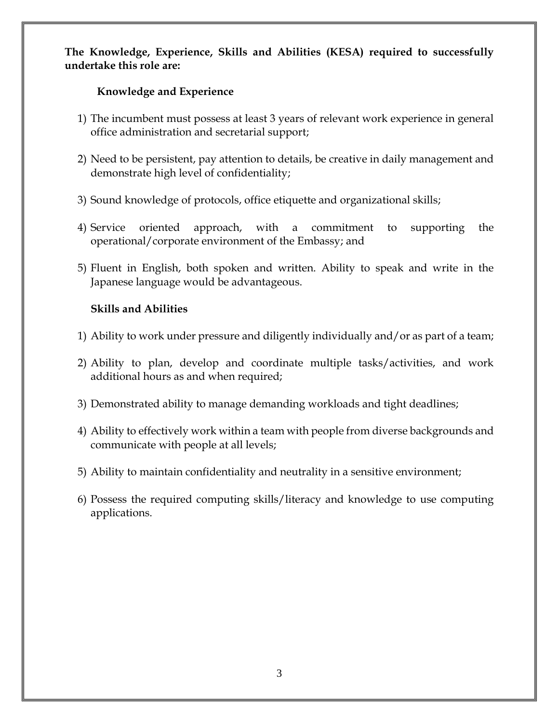# **The Knowledge, Experience, Skills and Abilities (KESA) required to successfully undertake this role are:**

## **Knowledge and Experience**

- 1) The incumbent must possess at least 3 years of relevant work experience in general office administration and secretarial support;
- 2) Need to be persistent, pay attention to details, be creative in daily management and demonstrate high level of confidentiality;
- 3) Sound knowledge of protocols, office etiquette and organizational skills;
- 4) Service oriented approach, with a commitment to supporting the operational/corporate environment of the Embassy; and
- 5) Fluent in English, both spoken and written. Ability to speak and write in the Japanese language would be advantageous.

# **Skills and Abilities**

- 1) Ability to work under pressure and diligently individually and/or as part of a team;
- 2) Ability to plan, develop and coordinate multiple tasks/activities, and work additional hours as and when required;
- 3) Demonstrated ability to manage demanding workloads and tight deadlines;
- 4) Ability to effectively work within a team with people from diverse backgrounds and communicate with people at all levels;
- 5) Ability to maintain confidentiality and neutrality in a sensitive environment;
- 6) Possess the required computing skills/literacy and knowledge to use computing applications.